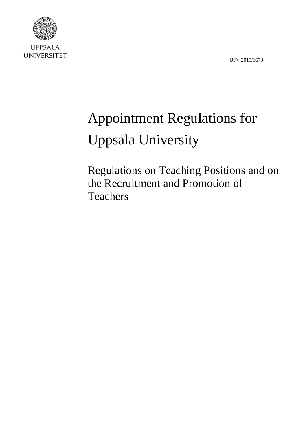UFV 2019/1673



**UPPSALA UNIVERSITET** 

# Appointment Regulations for Uppsala University

Regulations on Teaching Positions and on the Recruitment and Promotion of Teachers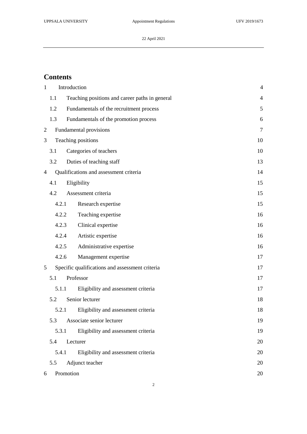### **Contents**

| $\mathbf{1}$   |                                                 | Introduction                          |                                                |    |  |
|----------------|-------------------------------------------------|---------------------------------------|------------------------------------------------|----|--|
|                | 1.1                                             |                                       | Teaching positions and career paths in general |    |  |
|                | 1.2                                             |                                       | Fundamentals of the recruitment process        | 5  |  |
|                | 1.3                                             | Fundamentals of the promotion process |                                                |    |  |
| $\overline{2}$ |                                                 | Fundamental provisions                |                                                |    |  |
| 3              | Teaching positions                              |                                       |                                                | 10 |  |
|                | 3.1                                             |                                       | Categories of teachers                         | 10 |  |
|                | 3.2                                             |                                       | Duties of teaching staff                       | 13 |  |
| $\overline{4}$ | Qualifications and assessment criteria          |                                       |                                                | 14 |  |
|                | 4.1                                             |                                       | Eligibility                                    | 15 |  |
|                | 4.2                                             |                                       | Assessment criteria                            | 15 |  |
|                | 4.2.1                                           |                                       | Research expertise                             | 15 |  |
|                | 4.2.2                                           |                                       | Teaching expertise                             | 16 |  |
|                | 4.2.3                                           |                                       | Clinical expertise                             | 16 |  |
|                | 4.2.4                                           |                                       | Artistic expertise                             | 16 |  |
|                | 4.2.5                                           |                                       | Administrative expertise                       | 16 |  |
|                | 4.2.6                                           |                                       | Management expertise                           | 17 |  |
| 5              | Specific qualifications and assessment criteria |                                       |                                                | 17 |  |
|                | 5.1                                             |                                       | Professor                                      | 17 |  |
|                | 5.1.1                                           |                                       | Eligibility and assessment criteria            | 17 |  |
|                | 5.2                                             |                                       | Senior lecturer                                | 18 |  |
|                | 5.2.1                                           |                                       | Eligibility and assessment criteria            | 18 |  |
|                | 5.3                                             |                                       | Associate senior lecturer                      | 19 |  |
|                | 5.3.1                                           |                                       | Eligibility and assessment criteria            | 19 |  |
|                | 5.4                                             |                                       | Lecturer                                       | 20 |  |
|                | 5.4.1                                           |                                       | Eligibility and assessment criteria            | 20 |  |
|                | 5.5                                             | Adjunct teacher                       |                                                | 20 |  |
| 6              |                                                 | Promotion<br>20                       |                                                |    |  |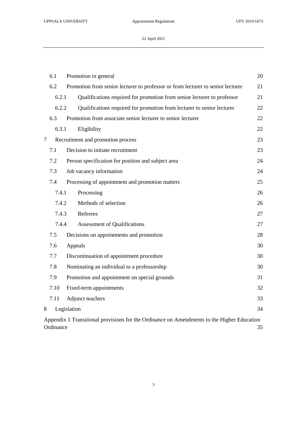|        | 6.1                                                                                                           | Promotion in general                                        |                                                                         |    |  |  |  |  |
|--------|---------------------------------------------------------------------------------------------------------------|-------------------------------------------------------------|-------------------------------------------------------------------------|----|--|--|--|--|
|        | 6.2<br>Promotion from senior lecturer to professor or from lecturer to senior lecturer                        |                                                             |                                                                         | 21 |  |  |  |  |
|        | 6.2.1<br>6.2.2                                                                                                |                                                             | Qualifications required for promotion from senior lecturer to professor |    |  |  |  |  |
|        |                                                                                                               |                                                             | Qualifications required for promotion from lecturer to senior lecturer  |    |  |  |  |  |
|        | 6.3                                                                                                           | Promotion from associate senior lecturer to senior lecturer |                                                                         | 22 |  |  |  |  |
|        | 6.3.1                                                                                                         |                                                             | Eligibility                                                             |    |  |  |  |  |
| $\tau$ |                                                                                                               | Recruitment and promotion process                           |                                                                         | 23 |  |  |  |  |
|        | 7.1                                                                                                           |                                                             | Decision to initiate recruitment                                        |    |  |  |  |  |
|        | 7.2                                                                                                           | Person specification for position and subject area          |                                                                         | 24 |  |  |  |  |
|        | 7.3                                                                                                           | Job vacancy information                                     |                                                                         | 24 |  |  |  |  |
|        | 7.4                                                                                                           |                                                             | Processing of appointment and promotion matters                         | 25 |  |  |  |  |
|        | 7.4.1                                                                                                         | Processing                                                  |                                                                         | 26 |  |  |  |  |
|        | 7.4.2                                                                                                         |                                                             | Methods of selection                                                    | 26 |  |  |  |  |
|        | 7.4.3                                                                                                         |                                                             | Referees                                                                | 27 |  |  |  |  |
|        | 7.4.4                                                                                                         |                                                             | Assessment of Qualifications                                            | 27 |  |  |  |  |
|        | 7.5                                                                                                           |                                                             | Decisions on appointments and promotion                                 | 28 |  |  |  |  |
|        | 7.6                                                                                                           | Appeals                                                     |                                                                         |    |  |  |  |  |
|        | 7.7                                                                                                           |                                                             | Discontinuation of appointment procedure                                |    |  |  |  |  |
|        | 7.8                                                                                                           |                                                             | Nominating an individual to a professorship                             |    |  |  |  |  |
|        | 7.9                                                                                                           |                                                             | Promotion and appointment on special grounds<br>31                      |    |  |  |  |  |
|        | 7.10                                                                                                          |                                                             | Fixed-term appointments                                                 | 32 |  |  |  |  |
|        | 7.11                                                                                                          |                                                             | Adjunct teachers                                                        | 33 |  |  |  |  |
| 8      |                                                                                                               | Legislation                                                 |                                                                         | 34 |  |  |  |  |
|        | Appendix 1 Transitional provisions for the Ordinance on Amendments to the Higher Education<br>Ordinance<br>35 |                                                             |                                                                         |    |  |  |  |  |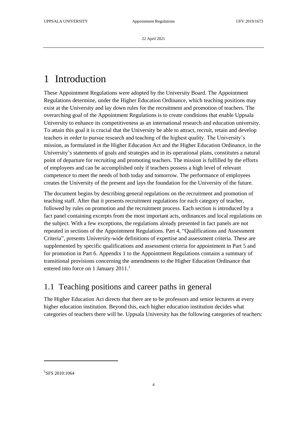# <span id="page-3-0"></span>1 Introduction

These Appointment Regulations were adopted by the University Board. The Appointment Regulations determine, under the Higher Education Ordinance, which teaching positions may exist at the University and lay down rules for the recruitment and promotion of teachers. The overarching goal of the Appointment Regulations is to create conditions that enable Uppsala University to enhance its competitiveness as an international research and education university. To attain this goal it is crucial that the University be able to attract, recruit, retain and develop teachers in order to pursue research and teaching of the highest quality. The University's mission, as formulated in the Higher Education Act and the Higher Education Ordinance, in the University's statements of goals and strategies and in its operational plans, constitutes a natural point of departure for recruiting and promoting teachers. The mission is fulfilled by the efforts of employees and can be accomplished only if teachers possess a high level of relevant competence to meet the needs of both today and tomorrow. The performance of employees creates the University of the present and lays the foundation for the University of the future.

The document begins by describing general regulations on the recruitment and promotion of teaching staff. After that it presents recruitment regulations for each category of teacher, followed by rules on promotion and the recruitment process. Each section is introduced by a fact panel containing excerpts from the most important acts, ordinances and local regulations on the subject. With a few exceptions, the regulations already presented in fact panels are not repeated in sections of the Appointment Regulations. Part 4, "Qualifications and Assessment Criteria", presents University-wide definitions of expertise and assessment criteria. These are supplemented by specific qualifications and assessment criteria for appointment in Part 5 and for promotion in Part 6. Appendix 1 to the Appointment Regulations contains a summary of transitional provisions concerning the amendments to the Higher Education Ordinance that entered into force on 1 January 2011.<sup>1</sup>

### <span id="page-3-1"></span>1.1 Teaching positions and career paths in general

The Higher Education Act directs that there are to be professors and senior lecturers at every higher education institution. Beyond this, each higher education institution decides what categories of teachers there will be. Uppsala University has the following categories of teachers:

1

<sup>1</sup> SFS 2010:1064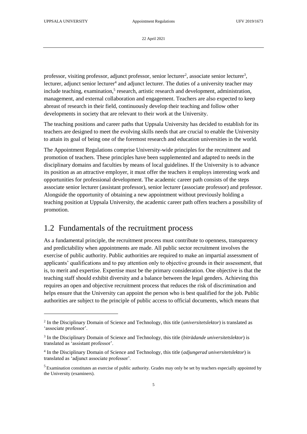-

22 April 2021

professor, visiting professor, adjunct professor, senior lecturer<sup>2</sup>, associate senior lecturer<sup>3</sup>, lecturer, adjunct senior lecturer<sup>4</sup> and adjunct lecturer. The duties of a university teacher may include teaching, examination,<sup>5</sup> research, artistic research and development, administration, management, and external collaboration and engagement. Teachers are also expected to keep abreast of research in their field, continuously develop their teaching and follow other developments in society that are relevant to their work at the University.

The teaching positions and career paths that Uppsala University has decided to establish for its teachers are designed to meet the evolving skills needs that are crucial to enable the University to attain its goal of being one of the foremost research and education universities in the world.

The Appointment Regulations comprise University-wide principles for the recruitment and promotion of teachers. These principles have been supplemented and adapted to needs in the disciplinary domains and faculties by means of local guidelines. If the University is to advance its position as an attractive employer, it must offer the teachers it employs interesting work and opportunities for professional development. The academic career path consists of the steps associate senior lecturer (assistant professor), senior lecturer (associate professor) and professor. Alongside the opportunity of obtaining a new appointment without previously holding a teaching position at Uppsala University, the academic career path offers teachers a possibility of promotion.

# <span id="page-4-0"></span>1.2 Fundamentals of the recruitment process

As a fundamental principle, the recruitment process must contribute to openness, transparency and predictability when appointments are made. All public sector recruitment involves the exercise of public authority. Public authorities are required to make an impartial assessment of applicants' qualifications and to pay attention only to objective grounds in their assessment, that is, to merit and expertise. Expertise must be the primary consideration. One objective is that the teaching staff should exhibit diversity and a balance between the legal genders. Achieving this requires an open and objective recruitment process that reduces the risk of discrimination and helps ensure that the University can appoint the person who is best qualified for the job. Public authorities are subject to the principle of public access to official documents, which means that

<sup>2</sup> In the Disciplinary Domain of Science and Technology, this title (*universitetslektor*) is translated as 'associate professor'.

<sup>3</sup> In the Disciplinary Domain of Science and Technology, this title (*biträdande universitetslektor*) is translated as 'assistant professor'.

<sup>4</sup> In the Disciplinary Domain of Science and Technology, this title (*adjungerad universitetslektor*) is translated as 'adjunct associate professor'.

<sup>5</sup> Examination constitutes an exercise of public authority. Grades may only be set by teachers especially appointed by the University (examiners).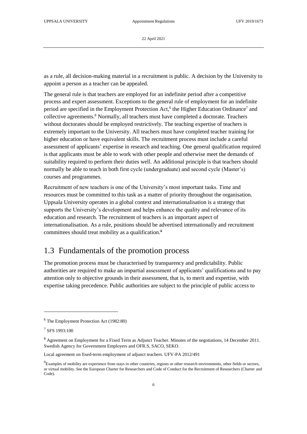as a rule, all decision-making material in a recruitment is public. A decision by the University to appoint a person as a teacher can be appealed.

The general rule is that teachers are employed for an indefinite period after a competitive process and expert assessment. Exceptions to the general rule of employment for an indefinite period are specified in the Employment Protection Act,<sup>6</sup> the Higher Education Ordinance<sup>7</sup> and collective agreements.<sup>8</sup> Normally, all teachers must have completed a doctorate. Teachers without doctorates should be employed restrictively. The teaching expertise of teachers is extremely important to the University. All teachers must have completed teacher training for higher education or have equivalent skills. The recruitment process must include a careful assessment of applicants' expertise in research and teaching. One general qualification required is that applicants must be able to work with other people and otherwise meet the demands of suitability required to perform their duties well. An additional principle is that teachers should normally be able to teach in both first cycle (undergraduate) and second cycle (Master's) courses and programmes.

Recruitment of new teachers is one of the University's most important tasks. Time and resources must be committed to this task as a matter of priority throughout the organisation. Uppsala University operates in a global context and internationalisation is a strategy that supports the University's development and helps enhance the quality and relevance of its education and research. The recruitment of teachers is an important aspect of internationalisation. As a rule, positions should be advertised internationally and recruitment committees should treat mobility as a qualification.<sup>9</sup>

#### <span id="page-5-0"></span>1.3 Fundamentals of the promotion process

The promotion process must be characterised by transparency and predictability. Public authorities are required to make an impartial assessment of applicants' qualifications and to pay attention only to objective grounds in their assessment, that is, to merit and expertise, with expertise taking precedence. Public authorities are subject to the principle of public access to

-

<sup>6</sup> The Employment Protection Act (1982:80)

<sup>7</sup> SFS 1993:100

<sup>8</sup> Agreement on Employment for a Fixed Term as Adjunct Teacher. Minutes of the negotiations, 14 December 2011. Swedish Agency for Government Employers and OFR.S, SACO, SEKO.

Local agreement on fixed-term employment of adjunct teachers. UFV-PA 2012/491

 ${}^{9}$ Examples of mobility are experience from stays in other countries, regions or other research environments, other fields or sectors, or virtual mobility. See the European Charter for Researchers and Code of Conduct for the Recruitment of Researchers (Charter and Code).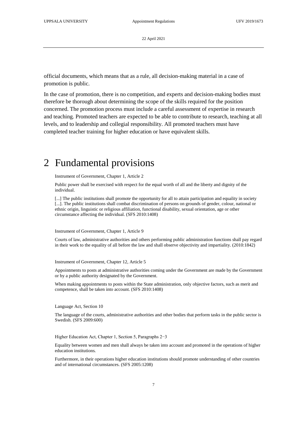official documents, which means that as a rule, all decision-making material in a case of promotion is public.

In the case of promotion, there is no competition, and experts and decision-making bodies must therefore be thorough about determining the scope of the skills required for the position concerned. The promotion process must include a careful assessment of expertise in research and teaching. Promoted teachers are expected to be able to contribute to research, teaching at all levels, and to leadership and collegial responsibility. All promoted teachers must have completed teacher training for higher education or have equivalent skills.

# <span id="page-6-0"></span>2 Fundamental provisions

Instrument of Government, Chapter 1, Article 2

Public power shall be exercised with respect for the equal worth of all and the liberty and dignity of the individual.

[...] The public institutions shall promote the opportunity for all to attain participation and equality in society [...]. The public institutions shall combat discrimination of persons on grounds of gender, colour, national or ethnic origin, linguistic or religious affiliation, functional disability, sexual orientation, age or other circumstance affecting the individual. (SFS 2010:1408)

#### Instrument of Government, Chapter 1, Article 9

Courts of law, administrative authorities and others performing public administration functions shall pay regard in their work to the equality of all before the law and shall observe objectivity and impartiality. (2010:1842)

Instrument of Government, Chapter 12, Article 5

Appointments to posts at administrative authorities coming under the Government are made by the Government or by a public authority designated by the Government.

When making appointments to posts within the State administration, only objective factors, such as merit and competence, shall be taken into account. (SFS 2010:1408)

Language Act, Section 10

The language of the courts, administrative authorities and other bodies that perform tasks in the public sector is Swedish. (SFS 2009:600)

Higher Education Act, Chapter 1, Section 5, Paragraphs 2−3

Equality between women and men shall always be taken into account and promoted in the operations of higher education institutions.

Furthermore, in their operations higher education institutions should promote understanding of other countries and of international circumstances. (SFS 2005:1208)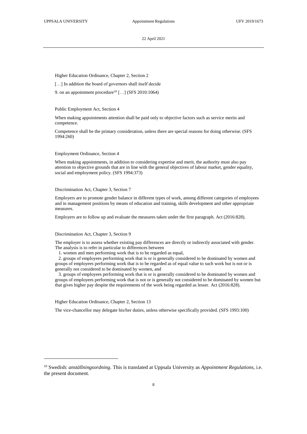Higher Education Ordinance, Chapter 2, Section 2

[...] In addition the board of governors shall itself decide

9. on an appointment procedure<sup>10</sup> [...] (SFS 2010:1064)

Public Employment Act, Section 4

When making appointments attention shall be paid only to objective factors such as service merits and competence.

Competence shall be the primary consideration, unless there are special reasons for doing otherwise. (SFS 1994:260)

Employment Ordinance, Section 4

When making appointments, in addition to considering expertise and merit, the authority must also pay attention to objective grounds that are in line with the general objectives of labour market, gender equality, social and employment policy. (SFS 1994:373)

#### Discrimination Act, Chapter 3, Section 7

Employers are to promote gender balance in different types of work, among different categories of employees and in management positions by means of education and training, skills development and other appropriate measures.

Employers are to follow up and evaluate the measures taken under the first paragraph. Act (2016:828).

#### Discrimination Act, Chapter 3, Section 9

The employer is to assess whether existing pay differences are directly or indirectly associated with gender. The analysis is to refer in particular to differences between

1. women and men performing work that is to be regarded as equal,

 2. groups of employees performing work that is or is generally considered to be dominated by women and groups of employees performing work that is to be regarded as of equal value to such work but is not or is generally not considered to be dominated by women, and

 3. groups of employees performing work that is or is generally considered to be dominated by women and groups of employees performing work that is not or is generally not considered to be dominated by women but that gives higher pay despite the requirements of the work being regarded as lesser. Act (2016:828).

Higher Education Ordinance, Chapter 2, Section 13

-

The vice-chancellor may delegate his/her duties, unless otherwise specifically provided. (SFS 1993:100)

<sup>10</sup> Swedish: *anställningsordning*. This is translated at Uppsala University as *Appointment Regulations*, i.e. the present document.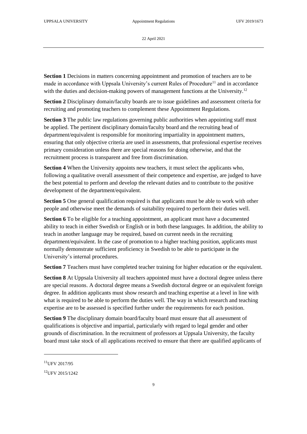**Section 1** Decisions in matters concerning appointment and promotion of teachers are to be made in accordance with Uppsala University's current Rules of Procedure<sup>11</sup> and in accordance with the duties and decision-making powers of management functions at the University.<sup>12</sup>

**Section 2** Disciplinary domain/faculty boards are to issue guidelines and assessment criteria for recruiting and promoting teachers to complement these Appointment Regulations.

**Section 3** The public law regulations governing public authorities when appointing staff must be applied. The pertinent disciplinary domain/faculty board and the recruiting head of department/equivalent is responsible for monitoring impartiality in appointment matters, ensuring that only objective criteria are used in assessments, that professional expertise receives primary consideration unless there are special reasons for doing otherwise, and that the recruitment process is transparent and free from discrimination.

**Section 4** When the University appoints new teachers, it must select the applicants who, following a qualitative overall assessment of their competence and expertise, are judged to have the best potential to perform and develop the relevant duties and to contribute to the positive development of the department/equivalent.

**Section 5** One general qualification required is that applicants must be able to work with other people and otherwise meet the demands of suitability required to perform their duties well.

**Section 6** To be eligible for a teaching appointment, an applicant must have a documented ability to teach in either Swedish or English or in both these languages. In addition, the ability to teach in another language may be required, based on current needs in the recruiting department/equivalent. In the case of promotion to a higher teaching position, applicants must normally demonstrate sufficient proficiency in Swedish to be able to participate in the University's internal procedures.

**Section 7** Teachers must have completed teacher training for higher education or the equivalent.

**Section 8** At Uppsala University all teachers appointed must have a doctoral degree unless there are special reasons. A doctoral degree means a Swedish doctoral degree or an equivalent foreign degree. In addition applicants must show research and teaching expertise at a level in line with what is required to be able to perform the duties well. The way in which research and teaching expertise are to be assessed is specified further under the requirements for each position.

**Section 9** The disciplinary domain board/faculty board must ensure that all assessment of qualifications is objective and impartial, particularly with regard to legal gender and other grounds of discrimination. In the recruitment of professors at Uppsala University, the faculty board must take stock of all applications received to ensure that there are qualified applicants of

1

 $11$ UFV 2017/95

 $12$ UFV 2015/1242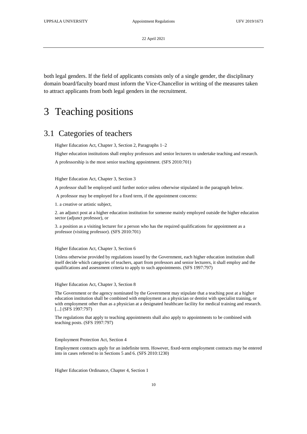both legal genders. If the field of applicants consists only of a single gender, the disciplinary domain board/faculty board must inform the Vice-Chancellor in writing of the measures taken to attract applicants from both legal genders in the recruitment.

# <span id="page-9-0"></span>3 Teaching positions

### <span id="page-9-1"></span>3.1 Categories of teachers

Higher Education Act, Chapter 3, Section 2, Paragraphs 1–2

Higher education institutions shall employ professors and senior lecturers to undertake teaching and research.

A professorship is the most senior teaching appointment. (SFS 2010:701)

Higher Education Act, Chapter 3, Section 3

A professor shall be employed until further notice unless otherwise stipulated in the paragraph below.

A professor may be employed for a fixed term, if the appointment concerns:

1. a creative or artistic subject,

2. an adjunct post at a higher education institution for someone mainly employed outside the higher education sector (adjunct professor), or

3. a position as a visiting lecturer for a person who has the required qualifications for appointment as a professor (visiting professor). (SFS 2010:701)

Higher Education Act, Chapter 3, Section 6

Unless otherwise provided by regulations issued by the Government, each higher education institution shall itself decide which categories of teachers, apart from professors and senior lecturers, it shall employ and the qualifications and assessment criteria to apply to such appointments. (SFS 1997:797)

Higher Education Act, Chapter 3, Section 8

The Government or the agency nominated by the Government may stipulate that a teaching post at a higher education institution shall be combined with employment as a physician or dentist with specialist training, or with employment other than as a physician at a designated healthcare facility for medical training and research. [...] (SFS 1997:797)

The regulations that apply to teaching appointments shall also apply to appointments to be combined with teaching posts. (SFS 1997:797)

#### Employment Protection Act, Section 4

Employment contracts apply for an indefinite term. However, fixed-term employment contracts may be entered into in cases referred to in Sections 5 and 6. (SFS 2010:1230)

Higher Education Ordinance, Chapter 4, Section 1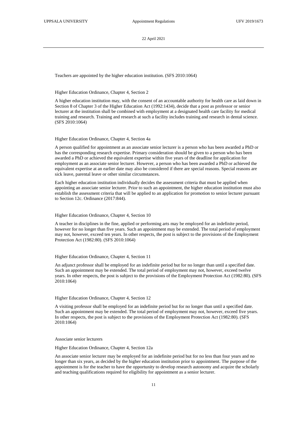Teachers are appointed by the higher education institution. (SFS 2010:1064)

#### Higher Education Ordinance, Chapter 4, Section 2

A higher education institution may, with the consent of an accountable authority for health care as laid down in Section 8 of Chapter 3 of the Higher Education Act (1992:1434), decide that a post as professor or senior lecturer at the institution shall be combined with employment at a designated health care facility for medical training and research. Training and research at such a facility includes training and research in dental science. (SFS 2010:1064)

#### Higher Education Ordinance, Chapter 4, Section 4a

A person qualified for appointment as an associate senior lecturer is a person who has been awarded a PhD or has the corresponding research expertise. Primary consideration should be given to a person who has been awarded a PhD or achieved the equivalent expertise within five years of the deadline for application for employment as an associate senior lecturer. However, a person who has been awarded a PhD or achieved the equivalent expertise at an earlier date may also be considered if there are special reasons. Special reasons are sick leave, parental leave or other similar circumstances.

Each higher education institution individually decides the assessment criteria that must be applied when appointing an associate senior lecturer. Prior to such an appointment, the higher education institution must also establish the assessment criteria that will be applied to an application for promotion to senior lecturer pursuant to Section 12c. Ordinance (2017:844).

#### Higher Education Ordinance, Chapter 4, Section 10

A teacher in disciplines in the fine, applied or performing arts may be employed for an indefinite period, however for no longer than five years. Such an appointment may be extended. The total period of employment may not, however, exceed ten years. In other respects, the post is subject to the provisions of the Employment Protection Act (1982:80). (SFS 2010:1064)

#### Higher Education Ordinance, Chapter 4, Section 11

An adjunct professor shall be employed for an indefinite period but for no longer than until a specified date. Such an appointment may be extended. The total period of employment may not, however, exceed twelve years. In other respects, the post is subject to the provisions of the Employment Protection Act (1982:80). (SFS 2010:1064)

#### Higher Education Ordinance, Chapter 4, Section 12

A visiting professor shall be employed for an indefinite period but for no longer than until a specified date. Such an appointment may be extended. The total period of employment may not, however, exceed five years. In other respects, the post is subject to the provisions of the Employment Protection Act (1982:80). (SFS 2010:1064)

#### Associate senior lecturers

#### Higher Education Ordinance, Chapter 4, Section 12a

An associate senior lecturer may be employed for an indefinite period but for no less than four years and no longer than six years, as decided by the higher education institution prior to appointment. The purpose of the appointment is for the teacher to have the opportunity to develop research autonomy and acquire the scholarly and teaching qualifications required for eligibility for appointment as a senior lecturer.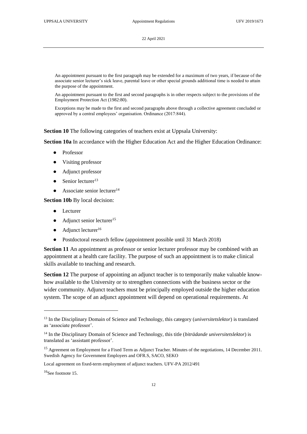An appointment pursuant to the first paragraph may be extended for a maximum of two years, if because of the associate senior lecturer's sick leave, parental leave or other special grounds additional time is needed to attain the purpose of the appointment.

An appointment pursuant to the first and second paragraphs is in other respects subject to the provisions of the Employment Protection Act (1982:80).

Exceptions may be made to the first and second paragraphs above through a collective agreement concluded or approved by a central employees' organisation. Ordinance (2017:844).

**Section 10** The following categories of teachers exist at Uppsala University:

**Section 10a** In accordance with the Higher Education Act and the Higher Education Ordinance:

- **Professor**
- Visiting professor
- Adjunct professor
- $\bullet$  Senior lecturer<sup>13</sup>
- $\bullet$  Associate senior lecturer<sup>14</sup>

**Section 10b** By local decision:

- Lecturer
- $\bullet$  Adjunct senior lecturer<sup>15</sup>
- $\bullet$  Adjunct lecturer<sup>16</sup>
- Postdoctoral research fellow (appointment possible until 31 March 2018)

Section 11 An appointment as professor or senior lecturer professor may be combined with an appointment at a health care facility. The purpose of such an appointment is to make clinical skills available to teaching and research.

**Section 12** The purpose of appointing an adjunct teacher is to temporarily make valuable knowhow available to the University or to strengthen connections with the business sector or the wider community. Adjunct teachers must be principally employed outside the higher education system. The scope of an adjunct appointment will depend on operational requirements. At

-

<sup>13</sup> In the Disciplinary Domain of Science and Technology, this category (*universitetslektor*) is translated as 'associate professor'.

<sup>14</sup> In the Disciplinary Domain of Science and Technology, this title (*biträdande universitetslektor*) is translated as 'assistant professor'.

<sup>&</sup>lt;sup>15</sup> Agreement on Employment for a Fixed Term as Adjunct Teacher. Minutes of the negotiations, 14 December 2011. Swedish Agency for Government Employers and OFR.S, SACO, SEKO

Local agreement on fixed-term employment of adjunct teachers. UFV-PA 2012/491

<sup>&</sup>lt;sup>16</sup>See footnote 15.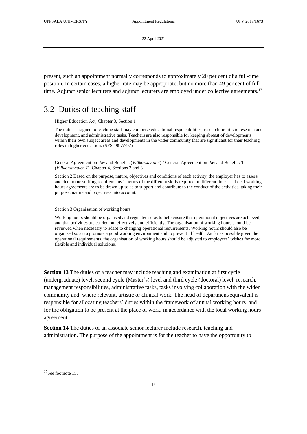present, such an appointment normally corresponds to approximately 20 per cent of a full-time position. In certain cases, a higher rate may be appropriate, but no more than 49 per cent of full time. Adjunct senior lecturers and adjunct lecturers are employed under collective agreements.<sup>17</sup>

### <span id="page-12-0"></span>3.2 Duties of teaching staff

Higher Education Act, Chapter 3, Section 1

The duties assigned to teaching staff may comprise educational responsibilities, research or artistic research and development, and administrative tasks. Teachers are also responsible for keeping abreast of developments within their own subject areas and developments in the wider community that are significant for their teaching roles in higher education. (SFS 1997:797)

General Agreement on Pay and Benefits (*Villkorsavtalet*) / General Agreement on Pay and Benefits-T (*Villkorsavtalet-T*), Chapter 4, Sections 2 and 3

Section 2 Based on the purpose, nature, objectives and conditions of each activity, the employer has to assess and determine staffing requirements in terms of the different skills required at different times. ... Local working hours agreements are to be drawn up so as to support and contribute to the conduct of the activities, taking their purpose, nature and objectives into account.

Section 3 Organisation of working hours

Working hours should be organised and regulated so as to help ensure that operational objectives are achieved, and that activities are carried out effectively and efficiently. The organisation of working hours should be reviewed when necessary to adapt to changing operational requirements. Working hours should also be organised so as to promote a good working environment and to prevent ill health. As far as possible given the operational requirements, the organisation of working hours should be adjusted to employees' wishes for more flexible and individual solutions.

**Section 13** The duties of a teacher may include teaching and examination at first cycle (undergraduate) level, second cycle (Master's) level and third cycle (doctoral) level, research, management responsibilities, administrative tasks, tasks involving collaboration with the wider community and, where relevant, artistic or clinical work. The head of department/equivalent is responsible for allocating teachers' duties within the framework of annual working hours, and for the obligation to be present at the place of work, in accordance with the local working hours agreement.

**Section 14** The duties of an associate senior lecturer include research, teaching and administration. The purpose of the appointment is for the teacher to have the opportunity to

1

<sup>&</sup>lt;sup>17</sup>See footnote 15.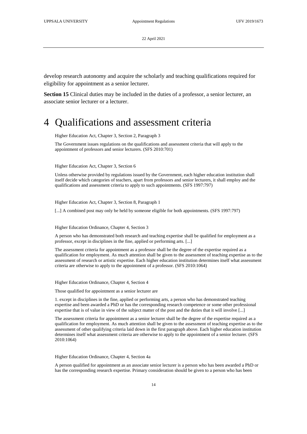develop research autonomy and acquire the scholarly and teaching qualifications required for eligibility for appointment as a senior lecturer.

**Section 15** Clinical duties may be included in the duties of a professor, a senior lecturer, an associate senior lecturer or a lecturer.

# <span id="page-13-0"></span>4 Qualifications and assessment criteria

Higher Education Act, Chapter 3, Section 2, Paragraph 3

The Government issues regulations on the qualifications and assessment criteria that will apply to the appointment of professors and senior lecturers. (SFS 2010:701)

Higher Education Act, Chapter 3, Section 6

Unless otherwise provided by regulations issued by the Government, each higher education institution shall itself decide which categories of teachers, apart from professors and senior lecturers, it shall employ and the qualifications and assessment criteria to apply to such appointments. (SFS 1997:797)

Higher Education Act, Chapter 3, Section 8, Paragraph 1

[...] A combined post may only be held by someone eligible for both appointments. (SFS 1997:797)

Higher Education Ordinance, Chapter 4, Section 3

A person who has demonstrated both research and teaching expertise shall be qualified for employment as a professor, except in disciplines in the fine, applied or performing arts. [...]

The assessment criteria for appointment as a professor shall be the degree of the expertise required as a qualification for employment. As much attention shall be given to the assessment of teaching expertise as to the assessment of research or artistic expertise. Each higher education institution determines itself what assessment criteria are otherwise to apply to the appointment of a professor. (SFS 2010:1064)

Higher Education Ordinance, Chapter 4, Section 4

Those qualified for appointment as a senior lecturer are

1. except in disciplines in the fine, applied or performing arts, a person who has demonstrated teaching expertise and been awarded a PhD or has the corresponding research competence or some other professional expertise that is of value in view of the subject matter of the post and the duties that it will involve [...]

The assessment criteria for appointment as a senior lecturer shall be the degree of the expertise required as a qualification for employment. As much attention shall be given to the assessment of teaching expertise as to the assessment of other qualifying criteria laid down in the first paragraph above. Each higher education institution determines itself what assessment criteria are otherwise to apply to the appointment of a senior lecturer. (SFS 2010:1064)

Higher Education Ordinance, Chapter 4, Section 4a

A person qualified for appointment as an associate senior lecturer is a person who has been awarded a PhD or has the corresponding research expertise. Primary consideration should be given to a person who has been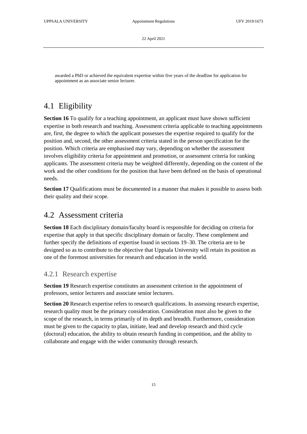awarded a PhD or achieved the equivalent expertise within five years of the deadline for application for appointment as an associate senior lecturer.

### <span id="page-14-0"></span>4.1 Eligibility

**Section 16** To qualify for a teaching appointment, an applicant must have shown sufficient expertise in both research and teaching. Assessment criteria applicable to teaching appointments are, first, the degree to which the applicant possesses the expertise required to qualify for the position and, second, the other assessment criteria stated in the person specification for the position. Which criteria are emphasised may vary, depending on whether the assessment involves eligibility criteria for appointment and promotion, or assessment criteria for ranking applicants. The assessment criteria may be weighted differently, depending on the content of the work and the other conditions for the position that have been defined on the basis of operational needs.

**Section 17** Qualifications must be documented in a manner that makes it possible to assess both their quality and their scope.

#### <span id="page-14-1"></span>4.2 Assessment criteria

**Section 18** Each disciplinary domain/faculty board is responsible for deciding on criteria for expertise that apply in that specific disciplinary domain or faculty. These complement and further specify the definitions of expertise found in sections 19–30. The criteria are to be designed so as to contribute to the objective that Uppsala University will retain its position as one of the foremost universities for research and education in the world.

#### <span id="page-14-2"></span>4.2.1 Research expertise

**Section 19** Research expertise constitutes an assessment criterion in the appointment of professors, senior lecturers and associate senior lecturers.

**Section 20** Research expertise refers to research qualifications. In assessing research expertise, research quality must be the primary consideration. Consideration must also be given to the scope of the research, in terms primarily of its depth and breadth. Furthermore, consideration must be given to the capacity to plan, initiate, lead and develop research and third cycle (doctoral) education, the ability to obtain research funding in competition, and the ability to collaborate and engage with the wider community through research.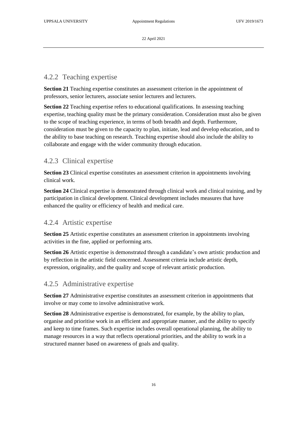#### <span id="page-15-0"></span>4.2.2 Teaching expertise

**Section 21** Teaching expertise constitutes an assessment criterion in the appointment of professors, senior lecturers, associate senior lecturers and lecturers.

**Section 22** Teaching expertise refers to educational qualifications. In assessing teaching expertise, teaching quality must be the primary consideration. Consideration must also be given to the scope of teaching experience, in terms of both breadth and depth. Furthermore, consideration must be given to the capacity to plan, initiate, lead and develop education, and to the ability to base teaching on research. Teaching expertise should also include the ability to collaborate and engage with the wider community through education.

#### <span id="page-15-1"></span>4.2.3 Clinical expertise

**Section 23** Clinical expertise constitutes an assessment criterion in appointments involving clinical work.

**Section 24** Clinical expertise is demonstrated through clinical work and clinical training, and by participation in clinical development. Clinical development includes measures that have enhanced the quality or efficiency of health and medical care.

#### <span id="page-15-2"></span>4.2.4 Artistic expertise

**Section 25** Artistic expertise constitutes an assessment criterion in appointments involving activities in the fine, applied or performing arts.

**Section 26** Artistic expertise is demonstrated through a candidate's own artistic production and by reflection in the artistic field concerned. Assessment criteria include artistic depth, expression, originality, and the quality and scope of relevant artistic production.

#### <span id="page-15-3"></span>4.2.5 Administrative expertise

**Section 27** Administrative expertise constitutes an assessment criterion in appointments that involve or may come to involve administrative work.

**Section 28** Administrative expertise is demonstrated, for example, by the ability to plan, organise and prioritise work in an efficient and appropriate manner, and the ability to specify and keep to time frames. Such expertise includes overall operational planning, the ability to manage resources in a way that reflects operational priorities, and the ability to work in a structured manner based on awareness of goals and quality.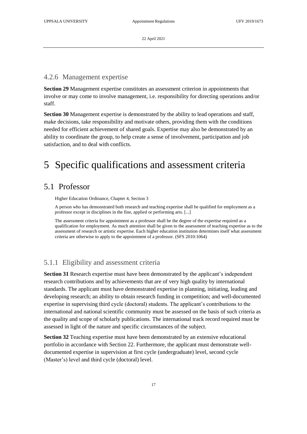#### <span id="page-16-0"></span>4.2.6 Management expertise

**Section 29** Management expertise constitutes an assessment criterion in appointments that involve or may come to involve management, i.e. responsibility for directing operations and/or staff.

**Section 30** Management expertise is demonstrated by the ability to lead operations and staff, make decisions, take responsibility and motivate others, providing them with the conditions needed for efficient achievement of shared goals. Expertise may also be demonstrated by an ability to coordinate the group, to help create a sense of involvement, participation and job satisfaction, and to deal with conflicts.

# <span id="page-16-1"></span>5 Specific qualifications and assessment criteria

#### <span id="page-16-2"></span>5.1 Professor

Higher Education Ordinance, Chapter 4, Section 3

A person who has demonstrated both research and teaching expertise shall be qualified for employment as a professor except in disciplines in the fine, applied or performing arts. [...]

The assessment criteria for appointment as a professor shall be the degree of the expertise required as a qualification for employment. As much attention shall be given to the assessment of teaching expertise as to the assessment of research or artistic expertise. Each higher education institution determines itself what assessment criteria are otherwise to apply to the appointment of a professor. (SFS 2010:1064)

#### <span id="page-16-3"></span>5.1.1 Eligibility and assessment criteria

**Section 31** Research expertise must have been demonstrated by the applicant's independent research contributions and by achievements that are of very high quality by international standards. The applicant must have demonstrated expertise in planning, initiating, leading and developing research; an ability to obtain research funding in competition; and well-documented expertise in supervising third cycle (doctoral) students. The applicant's contributions to the international and national scientific community must be assessed on the basis of such criteria as the quality and scope of scholarly publications. The international track record required must be assessed in light of the nature and specific circumstances of the subject.

**Section 32** Teaching expertise must have been demonstrated by an extensive educational portfolio in accordance with Section 22. Furthermore, the applicant must demonstrate welldocumented expertise in supervision at first cycle (undergraduate) level, second cycle (Master's) level and third cycle (doctoral) level.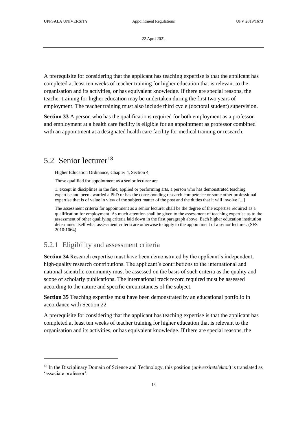A prerequisite for considering that the applicant has teaching expertise is that the applicant has completed at least ten weeks of teacher training for higher education that is relevant to the organisation and its activities, or has equivalent knowledge. If there are special reasons, the teacher training for higher education may be undertaken during the first two years of employment. The teacher training must also include third cycle (doctoral student) supervision.

**Section 33** A person who has the qualifications required for both employment as a professor and employment at a health care facility is eligible for an appointment as professor combined with an appointment at a designated health care facility for medical training or research.

#### <span id="page-17-0"></span>5.2 Senior lecturer<sup>18</sup>

-

Higher Education Ordinance, Chapter 4, Section 4,

Those qualified for appointment as a senior lecturer are

1. except in disciplines in the fine, applied or performing arts, a person who has demonstrated teaching expertise and been awarded a PhD or has the corresponding research competence or some other professional expertise that is of value in view of the subject matter of the post and the duties that it will involve [...]

The assessment criteria for appointment as a senior lecturer shall be the degree of the expertise required as a qualification for employment. As much attention shall be given to the assessment of teaching expertise as to the assessment of other qualifying criteria laid down in the first paragraph above. Each higher education institution determines itself what assessment criteria are otherwise to apply to the appointment of a senior lecturer. (SFS 2010:1064)

#### <span id="page-17-1"></span>5.2.1 Eligibility and assessment criteria

**Section 34** Research expertise must have been demonstrated by the applicant's independent, high-quality research contributions. The applicant's contributions to the international and national scientific community must be assessed on the basis of such criteria as the quality and scope of scholarly publications. The international track record required must be assessed according to the nature and specific circumstances of the subject.

**Section 35** Teaching expertise must have been demonstrated by an educational portfolio in accordance with Section 22.

A prerequisite for considering that the applicant has teaching expertise is that the applicant has completed at least ten weeks of teacher training for higher education that is relevant to the organisation and its activities, or has equivalent knowledge. If there are special reasons, the

<sup>18</sup> In the Disciplinary Domain of Science and Technology, this position (*universitetslektor*) is translated as 'associate professor'.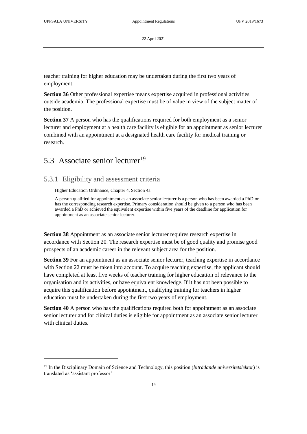-

22 April 2021

teacher training for higher education may be undertaken during the first two years of employment.

**Section 36** Other professional expertise means expertise acquired in professional activities outside academia. The professional expertise must be of value in view of the subject matter of the position.

**Section 37** A person who has the qualifications required for both employment as a senior lecturer and employment at a health care facility is eligible for an appointment as senior lecturer combined with an appointment at a designated health care facility for medical training or research.

### <span id="page-18-0"></span>5.3 Associate senior lecturer<sup>19</sup>

#### <span id="page-18-1"></span>5.3.1 Eligibility and assessment criteria

Higher Education Ordinance, Chapter 4, Section 4a

A person qualified for appointment as an associate senior lecturer is a person who has been awarded a PhD or has the corresponding research expertise. Primary consideration should be given to a person who has been awarded a PhD or achieved the equivalent expertise within five years of the deadline for application for appointment as an associate senior lecturer.

**Section 38** Appointment as an associate senior lecturer requires research expertise in accordance with Section 20. The research expertise must be of good quality and promise good prospects of an academic career in the relevant subject area for the position.

**Section 39** For an appointment as an associate senior lecturer, teaching expertise in accordance with Section 22 must be taken into account. To acquire teaching expertise, the applicant should have completed at least five weeks of teacher training for higher education of relevance to the organisation and its activities, or have equivalent knowledge. If it has not been possible to acquire this qualification before appointment, qualifying training for teachers in higher education must be undertaken during the first two years of employment.

**Section 40** A person who has the qualifications required both for appointment as an associate senior lecturer and for clinical duties is eligible for appointment as an associate senior lecturer with clinical duties.

<sup>19</sup> In the Disciplinary Domain of Science and Technology, this position (*biträdande universitetslektor*) is translated as 'assistant professor'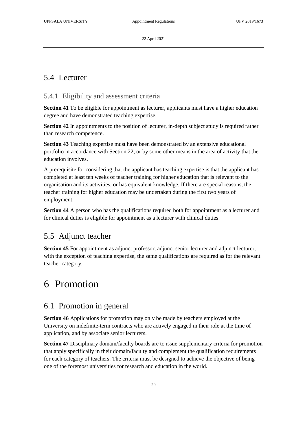### <span id="page-19-0"></span>5.4 Lecturer

#### <span id="page-19-1"></span>5.4.1 Eligibility and assessment criteria

**Section 41** To be eligible for appointment as lecturer, applicants must have a higher education degree and have demonstrated teaching expertise.

**Section 42** In appointments to the position of lecturer, in-depth subject study is required rather than research competence.

**Section 43** Teaching expertise must have been demonstrated by an extensive educational portfolio in accordance with Section 22, or by some other means in the area of activity that the education involves.

A prerequisite for considering that the applicant has teaching expertise is that the applicant has completed at least ten weeks of teacher training for higher education that is relevant to the organisation and its activities, or has equivalent knowledge. If there are special reasons, the teacher training for higher education may be undertaken during the first two years of employment.

**Section 44** A person who has the qualifications required both for appointment as a lecturer and for clinical duties is eligible for appointment as a lecturer with clinical duties.

### <span id="page-19-2"></span>5.5 Adjunct teacher

**Section 45** For appointment as adjunct professor, adjunct senior lecturer and adjunct lecturer, with the exception of teaching expertise, the same qualifications are required as for the relevant teacher category.

# <span id="page-19-3"></span>6 Promotion

### <span id="page-19-4"></span>6.1 Promotion in general

**Section 46** Applications for promotion may only be made by teachers employed at the University on indefinite-term contracts who are actively engaged in their role at the time of application, and by associate senior lecturers.

**Section 47** Disciplinary domain/faculty boards are to issue supplementary criteria for promotion that apply specifically in their domain/faculty and complement the qualification requirements for each category of teachers. The criteria must be designed to achieve the objective of being one of the foremost universities for research and education in the world.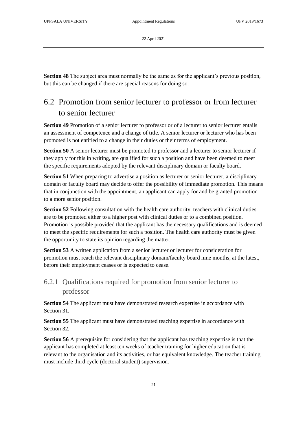**Section 48** The subject area must normally be the same as for the applicant's previous position, but this can be changed if there are special reasons for doing so.

# <span id="page-20-0"></span>6.2 Promotion from senior lecturer to professor or from lecturer to senior lecturer

**Section 49** Promotion of a senior lecturer to professor or of a lecturer to senior lecturer entails an assessment of competence and a change of title. A senior lecturer or lecturer who has been promoted is not entitled to a change in their duties or their terms of employment.

**Section 50** A senior lecturer must be promoted to professor and a lecturer to senior lecturer if they apply for this in writing, are qualified for such a position and have been deemed to meet the specific requirements adopted by the relevant disciplinary domain or faculty board.

**Section 51** When preparing to advertise a position as lecturer or senior lecturer, a disciplinary domain or faculty board may decide to offer the possibility of immediate promotion. This means that in conjunction with the appointment, an applicant can apply for and be granted promotion to a more senior position.

**Section 52** Following consultation with the health care authority, teachers with clinical duties are to be promoted either to a higher post with clinical duties or to a combined position. Promotion is possible provided that the applicant has the necessary qualifications and is deemed to meet the specific requirements for such a position. The health care authority must be given the opportunity to state its opinion regarding the matter.

**Section 53** A written application from a senior lecturer or lecturer for consideration for promotion must reach the relevant disciplinary domain/faculty board nine months, at the latest, before their employment ceases or is expected to cease.

### <span id="page-20-1"></span>6.2.1 Qualifications required for promotion from senior lecturer to professor

**Section 54** The applicant must have demonstrated research expertise in accordance with Section 31.

**Section 55** The applicant must have demonstrated teaching expertise in accordance with Section 32.

**Section 56** A prerequisite for considering that the applicant has teaching expertise is that the applicant has completed at least ten weeks of teacher training for higher education that is relevant to the organisation and its activities, or has equivalent knowledge. The teacher training must include third cycle (doctoral student) supervision.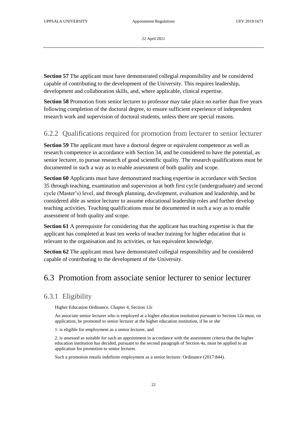**Section 57** The applicant must have demonstrated collegial responsibility and be considered capable of contributing to the development of the University. This requires leadership, development and collaboration skills, and, where applicable, clinical expertise.

**Section 58** Promotion from senior lecturer to professor may take place no earlier than five years following completion of the doctoral degree, to ensure sufficient experience of independent research work and supervision of doctoral students, unless there are special reasons.

#### <span id="page-21-0"></span>6.2.2 Qualifications required for promotion from lecturer to senior lecturer

**Section 59** The applicant must have a doctoral degree or equivalent competence as well as research competence in accordance with Section 34, and be considered to have the potential, as senior lecturer, to pursue research of good scientific quality. The research qualifications must be documented in such a way as to enable assessment of both quality and scope.

**Section 60** Applicants must have demonstrated teaching expertise in accordance with Section 35 through teaching, examination and supervision at both first cycle (undergraduate) and second cycle (Master's) level, and through planning, development, evaluation and leadership, and be considered able as senior lecturer to assume educational leadership roles and further develop teaching activities. Teaching qualifications must be documented in such a way as to enable assessment of both quality and scope.

**Section 61** A prerequisite for considering that the applicant has teaching expertise is that the applicant has completed at least ten weeks of teacher training for higher education that is relevant to the organisation and its activities, or has equivalent knowledge.

**Section 62** The applicant must have demonstrated collegial responsibility and be considered capable of contributing to the development of the University.

### <span id="page-21-1"></span>6.3 Promotion from associate senior lecturer to senior lecturer

#### <span id="page-21-2"></span>6.3.1 Eligibility

Higher Education Ordinance, Chapter 4, Section 12c

An associate senior lecturer who is employed at a higher education institution pursuant to Section 12a must, on application, be promoted to senior lecturer at the higher education institution, if he or she

1. is eligible for employment as a senior lecturer, and

2. is assessed as suitable for such an appointment in accordance with the assessment criteria that the higher education institution has decided, pursuant to the second paragraph of Section 4a, must be applied to an application for promotion to senior lecturer.

Such a promotion entails indefinite employment as a senior lecturer. Ordinance (2017:844).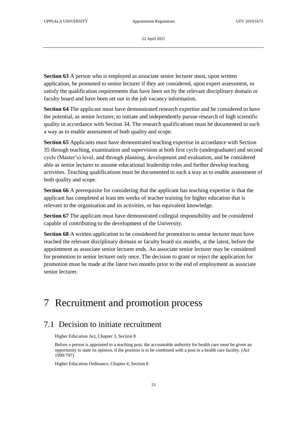**Section 63** A person who is employed as associate senior lecturer must, upon written application, be promoted to senior lecturer if they are considered, upon expert assessment, to satisfy the qualification requirements that have been set by the relevant disciplinary domain or faculty board and have been set out in the job vacancy information.

**Section 64** The applicant must have demonstrated research expertise and be considered to have the potential, as senior lecturer, to initiate and independently pursue research of high scientific quality in accordance with Section 34. The research qualifications must be documented in such a way as to enable assessment of both quality and scope.

**Section 65** Applicants must have demonstrated teaching expertise in accordance with Section 35 through teaching, examination and supervision at both first cycle (undergraduate) and second cycle (Master's) level, and through planning, development and evaluation, and be considered able as senior lecturer to assume educational leadership roles and further develop teaching activities. Teaching qualifications must be documented in such a way as to enable assessment of both quality and scope.

**Section 66** A prerequisite for considering that the applicant has teaching expertise is that the applicant has completed at least ten weeks of teacher training for higher education that is relevant to the organisation and its activities, or has equivalent knowledge.

**Section 67** The applicant must have demonstrated collegial responsibility and be considered capable of contributing to the development of the University.

**Section 68** A written application to be considered for promotion to senior lecturer must have reached the relevant disciplinary domain or faculty board six months, at the latest, before the appointment as associate senior lecturer ends. An associate senior lecturer may be considered for promotion to senior lecturer only once. The decision to grant or reject the application for promotion must be made at the latest two months prior to the end of employment as associate senior lecturer.

# <span id="page-22-0"></span>7 Recruitment and promotion process

### <span id="page-22-1"></span>7.1 Decision to initiate recruitment

Higher Education Act, Chapter 3, Section 8

Before a person is appointed to a teaching post, the accountable authority for health care must be given an opportunity to state its opinion, if the position is to be combined with a post in a health care facility. (Act 1999:797)

Higher Education Ordinance, Chapter 4, Section 8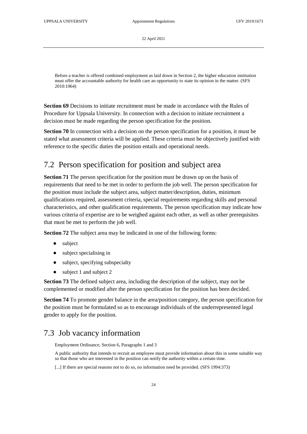Before a teacher is offered combined employment as laid down in Section 2, the higher education institution must offer the accountable authority for health care an opportunity to state its opinion in the matter. (SFS 2010:1064)

**Section 69** Decisions to initiate recruitment must be made in accordance with the Rules of Procedure for Uppsala University. In connection with a decision to initiate recruitment a decision must be made regarding the person specification for the position.

**Section 70** In connection with a decision on the person specification for a position, it must be stated what assessment criteria will be applied. These criteria must be objectively justified with reference to the specific duties the position entails and operational needs.

# <span id="page-23-0"></span>7.2 Person specification for position and subject area

**Section 71** The person specification for the position must be drawn up on the basis of requirements that need to be met in order to perform the job well. The person specification for the position must include the subject area, subject matter/description, duties, minimum qualifications required, assessment criteria, special requirements regarding skills and personal characteristics, and other qualification requirements. The person specification may indicate how various criteria of expertise are to be weighed against each other, as well as other prerequisites that must be met to perform the job well.

**Section 72** The subject area may be indicated in one of the following forms:

- subject
- subject specialising in
- subject, specifying subspecialty
- subject 1 and subject 2

**Section 73** The defined subject area, including the description of the subject, may not be complemented or modified after the person specification for the position has been decided.

**Section 74** To promote gender balance in the area/position category, the person specification for the position must be formulated so as to encourage individuals of the underrepresented legal gender to apply for the position.

### <span id="page-23-1"></span>7.3 Job vacancy information

Employment Ordinance, Section 6, Paragraphs 1 and 3

A public authority that intends to recruit an employee must provide information about this in some suitable way so that those who are interested in the position can notify the authority within a certain time.

[...] If there are special reasons not to do so, no information need be provided. (SFS 1994:373)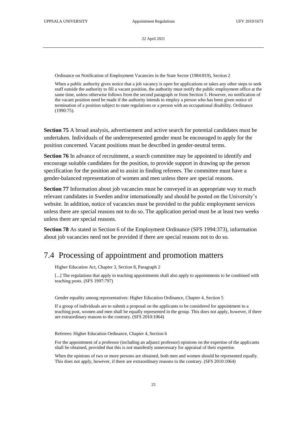Ordinance on Notification of Employment Vacancies in the State Sector (1984:819), Section 2

When a public authority gives notice that a job vacancy is open for applications or takes any other steps to seek staff outside the authority to fill a vacant position, the authority must notify the public employment office at the same time, unless otherwise follows from the second paragraph or from Section 5. However, no notification of the vacant position need be made if the authority intends to employ a person who has been given notice of termination of a position subject to state regulations or a person with an occupational disability. Ordinance (1990:75).

**Section 75** A broad analysis, advertisement and active search for potential candidates must be undertaken. Individuals of the underrepresented gender must be encouraged to apply for the position concerned. Vacant positions must be described in gender-neutral terms.

**Section 76** In advance of recruitment, a search committee may be appointed to identify and encourage suitable candidates for the position, to provide support in drawing up the person specification for the position and to assist in finding referees. The committee must have a gender-balanced representation of women and men unless there are special reasons.

**Section 77** Information about job vacancies must be conveyed in an appropriate way to reach relevant candidates in Sweden and/or internationally and should be posted on the University's website. In addition, notice of vacancies must be provided to the public employment services unless there are special reasons not to do so. The application period must be at least two weeks unless there are special reasons.

**Section 78** As stated in Section 6 of the Employment Ordinance (SFS 1994:373), information about job vacancies need not be provided if there are special reasons not to do so.

#### <span id="page-24-0"></span>7.4 Processing of appointment and promotion matters

Higher Education Act, Chapter 3, Section 8, Paragraph 2

[...] The regulations that apply to teaching appointments shall also apply to appointments to be combined with teaching posts. (SFS 1997:797)

Gender equality among representatives: Higher Education Ordinance, Chapter 4, Section 5

If a group of individuals are to submit a proposal on the applicants to be considered for appointment to a teaching post, women and men shall be equally represented in the group. This does not apply, however, if there are extraordinary reasons to the contrary. (SFS 2010:1064)

Referees: Higher Education Ordinance, Chapter 4, Section 6

For the appointment of a professor (including an adjunct professor) opinions on the expertise of the applicants shall be obtained, provided that this is not manifestly unnecessary for appraisal of their expertise.

When the opinions of two or more persons are obtained, both men and women should be represented equally. This does not apply, however, if there are extraordinary reasons to the contrary. (SFS 2010:1064)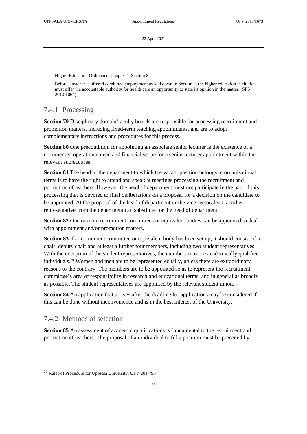Higher Education Ordinance, Chapter 4, Section 8

Before a teacher is offered combined employment as laid down in Section 2, the higher education institution must offer the accountable authority for health care an opportunity to state its opinion in the matter. (SFS 2010:1064)

#### <span id="page-25-0"></span>7.4.1 Processing

**Section 79** Disciplinary domain/faculty boards are responsible for processing recruitment and promotion matters, including fixed-term teaching appointments, and are to adopt complementary instructions and procedures for this process.

**Section 80** One precondition for appointing an associate senior lecturer is the existence of a documented operational need and financial scope for a senior lecturer appointment within the relevant subject area.

**Section 81** The head of the department to which the vacant position belongs in organisational terms is to have the right to attend and speak at meetings processing the recruitment and promotion of teachers. However, the head of department must not participate in the part of this processing that is devoted to final deliberations on a proposal for a decision on the candidate to be appointed. At the proposal of the head of department or the vice-rector/dean, another representative from the department can substitute for the head of department.

Section 82 One or more recruitment committees or equivalent bodies can be appointed to deal with appointment and/or promotion matters.

**Section 83** If a recruitment committee or equivalent body has been set up, it should consist of a chair, deputy chair and at least a further four members, including two student representatives. With the exception of the student representatives, the members must be academically qualified individuals.<sup>20</sup> Women and men are to be represented equally, unless there are extraordinary reasons to the contrary. The members are to be appointed so as to represent the recruitment committee's area of responsibility in research and educational terms, and in general as broadly as possible. The student representatives are appointed by the relevant student union.

**Section 84** An application that arrives after the deadline for applications may be considered if this can be done without inconvenience and is in the best interest of the University.

#### <span id="page-25-1"></span>7.4.2 Methods of selection

1

**Section 85** An assessment of academic qualifications is fundamental to the recruitment and promotion of teachers. The proposal of an individual to fill a position must be preceded by

<sup>20</sup> Rules of Procedure for Uppsala University. UFV 2017/95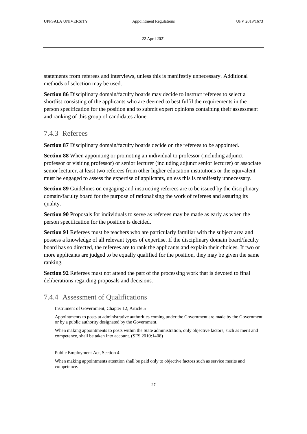statements from referees and interviews, unless this is manifestly unnecessary. Additional methods of selection may be used.

**Section 86** Disciplinary domain/faculty boards may decide to instruct referees to select a shortlist consisting of the applicants who are deemed to best fulfil the requirements in the person specification for the position and to submit expert opinions containing their assessment and ranking of this group of candidates alone.

#### <span id="page-26-0"></span>7.4.3 Referees

**Section 87** Disciplinary domain/faculty boards decide on the referees to be appointed.

**Section 88** When appointing or promoting an individual to professor (including adjunct professor or visiting professor) or senior lecturer (including adjunct senior lecturer) or associate senior lecturer, at least two referees from other higher education institutions or the equivalent must be engaged to assess the expertise of applicants, unless this is manifestly unnecessary.

**Section 89** Guidelines on engaging and instructing referees are to be issued by the disciplinary domain/faculty board for the purpose of rationalising the work of referees and assuring its quality.

**Section 90** Proposals for individuals to serve as referees may be made as early as when the person specification for the position is decided.

**Section 91** Referees must be teachers who are particularly familiar with the subject area and possess a knowledge of all relevant types of expertise. If the disciplinary domain board/faculty board has so directed, the referees are to rank the applicants and explain their choices. If two or more applicants are judged to be equally qualified for the position, they may be given the same ranking.

**Section 92** Referees must not attend the part of the processing work that is devoted to final deliberations regarding proposals and decisions.

#### <span id="page-26-1"></span>7.4.4 Assessment of Qualifications

Instrument of Government, Chapter 12, Article 5

Appointments to posts at administrative authorities coming under the Government are made by the Government or by a public authority designated by the Government.

When making appointments to posts within the State administration, only objective factors, such as merit and competence, shall be taken into account. (SFS 2010:1408)

Public Employment Act, Section 4

When making appointments attention shall be paid only to objective factors such as service merits and competence.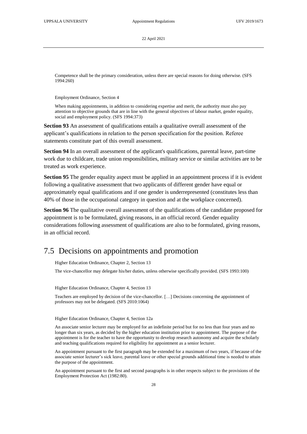Competence shall be the primary consideration, unless there are special reasons for doing otherwise. (SFS 1994:260)

Employment Ordinance, Section 4

When making appointments, in addition to considering expertise and merit, the authority must also pay attention to objective grounds that are in line with the general objectives of labour market, gender equality, social and employment policy. (SFS 1994:373)

**Section 93** An assessment of qualifications entails a qualitative overall assessment of the applicant's qualifications in relation to the person specification for the position. Referee statements constitute part of this overall assessment.

**Section 94** In an overall assessment of the applicant's qualifications, parental leave, part-time work due to childcare, trade union responsibilities, military service or similar activities are to be treated as work experience.

**Section 95** The gender equality aspect must be applied in an appointment process if it is evident following a qualitative assessment that two applicants of different gender have equal or approximately equal qualifications and if one gender is underrepresented (constitutes less than 40% of those in the occupational category in question and at the workplace concerned).

**Section 96** The qualitative overall assessment of the qualifications of the candidate proposed for appointment is to be formulated, giving reasons, in an official record. Gender equality considerations following assessment of qualifications are also to be formulated, giving reasons, in an official record.

#### <span id="page-27-0"></span>7.5 Decisions on appointments and promotion

Higher Education Ordinance, Chapter 2, Section 13

The vice-chancellor may delegate his/her duties, unless otherwise specifically provided. (SFS 1993:100)

Higher Education Ordinance, Chapter 4, Section 13

Teachers are employed by decision of the vice-chancellor. […] Decisions concerning the appointment of professors may not be delegated. (SFS 2010:1064)

Higher Education Ordinance, Chapter 4, Section 12a

An associate senior lecturer may be employed for an indefinite period but for no less than four years and no longer than six years, as decided by the higher education institution prior to appointment. The purpose of the appointment is for the teacher to have the opportunity to develop research autonomy and acquire the scholarly and teaching qualifications required for eligibility for appointment as a senior lecturer.

An appointment pursuant to the first paragraph may be extended for a maximum of two years, if because of the associate senior lecturer's sick leave, parental leave or other special grounds additional time is needed to attain the purpose of the appointment.

An appointment pursuant to the first and second paragraphs is in other respects subject to the provisions of the Employment Protection Act (1982:80).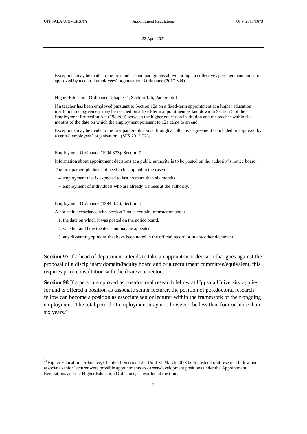Exceptions may be made to the first and second paragraphs above through a collective agreement concluded or approved by a central employees' organisation. Ordinance (2017:844).

Higher Education Ordinance, Chapter 4, Section 12b, Paragraph 1

If a teacher has been employed pursuant to Section 12a on a fixed-term appointment at a higher education institution, no agreement may be reached on a fixed-term appointment as laid down in Section 5 of the Employment Protection Act (1982:80) between the higher education institution and the teacher within six months of the date on which the employment pursuant to 12a came to an end.

Exceptions may be made to the first paragraph above through a collective agreement concluded or approved by a central employees' organisation. (SFS 2012:523)

Employment Ordinance (1994:373), Section 7

Information about appointment decisions at a public authority is to be posted on the authority's notice board.

The first paragraph does not need to be applied in the case of

- -- employment that is expected to last no more than six months,
- -- employment of individuals who are already trainees at the authority.

Employment Ordinance (1994:373), Section 8

-

A notice in accordance with Section 7 must contain information about

- 1. the date on which it was posted on the notice board,
- 2. whether and how the decision may be appealed,
- 3. any dissenting opinions that have been noted in the official record or in any other document.

**Section 97** If a head of department intends to take an appointment decision that goes against the proposal of a disciplinary domain/faculty board and or a recruitment committee/equivalent, this requires prior consultation with the dean/vice-rector.

**Section 98** If a person employed as postdoctoral research fellow at Uppsala University applies for and is offered a position as associate senior lecturer, the position of postdoctoral research fellow can become a position as associate senior lecturer within the framework of their ongoing employment. The total period of employment may not, however, be less than four or more than six years.<sup>21</sup>

<sup>&</sup>lt;sup>21</sup>Higher Education Ordinance, Chapter 4, Section 12a. Until 31 March 2018 both postdoctoral research fellow and associate senior lecturer were possible appointments as career-development positions under the Appointment Regulations and the Higher Education Ordinance, as worded at the time.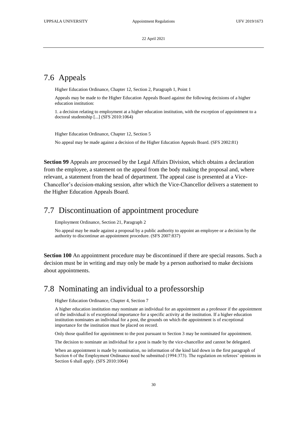# <span id="page-29-0"></span>7.6 Appeals

Higher Education Ordinance, Chapter 12, Section 2, Paragraph 1, Point 1

Appeals may be made to the Higher Education Appeals Board against the following decisions of a higher education institution:

1. a decision relating to employment at a higher education institution, with the exception of appointment to a doctoral studentship [...] (SFS 2010:1064)

Higher Education Ordinance, Chapter 12, Section 5

No appeal may be made against a decision of the Higher Education Appeals Board. (SFS 2002:81)

**Section 99** Appeals are processed by the Legal Affairs Division, which obtains a declaration from the employee, a statement on the appeal from the body making the proposal and, where relevant, a statement from the head of department. The appeal case is presented at a Vice-Chancellor's decision-making session, after which the Vice-Chancellor delivers a statement to the Higher Education Appeals Board.

#### <span id="page-29-1"></span>7.7 Discontinuation of appointment procedure

Employment Ordinance, Section 21, Paragraph 2

No appeal may be made against a proposal by a public authority to appoint an employee or a decision by the authority to discontinue an appointment procedure. (SFS 2007:837)

**Section 100** An appointment procedure may be discontinued if there are special reasons. Such a decision must be in writing and may only be made by a person authorised to make decisions about appointments.

# <span id="page-29-2"></span>7.8 Nominating an individual to a professorship

Higher Education Ordinance, Chapter 4, Section 7

A higher education institution may nominate an individual for an appointment as a professor if the appointment of the individual is of exceptional importance for a specific activity at the institution. If a higher education institution nominates an individual for a post, the grounds on which the appointment is of exceptional importance for the institution must be placed on record.

Only those qualified for appointment to the post pursuant to Section 3 may be nominated for appointment.

The decision to nominate an individual for a post is made by the vice-chancellor and cannot be delegated.

When an appointment is made by nomination, no information of the kind laid down in the first paragraph of Section 6 of the Employment Ordinance need be submitted (1994:373). The regulation on referees' opinions in Section 6 shall apply. (SFS 2010:1064)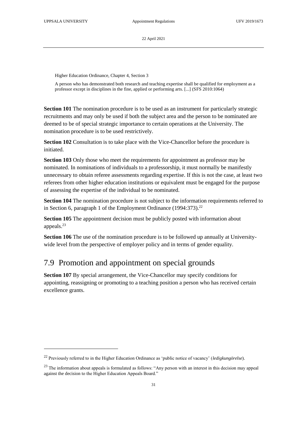-

22 April 2021

Higher Education Ordinance, Chapter 4, Section 3

A person who has demonstrated both research and teaching expertise shall be qualified for employment as a professor except in disciplines in the fine, applied or performing arts. [...] (SFS 2010:1064)

**Section 101** The nomination procedure is to be used as an instrument for particularly strategic recruitments and may only be used if both the subject area and the person to be nominated are deemed to be of special strategic importance to certain operations at the University. The nomination procedure is to be used restrictively.

**Section 102** Consultation is to take place with the Vice-Chancellor before the procedure is initiated.

**Section 103** Only those who meet the requirements for appointment as professor may be nominated. In nominations of individuals to a professorship, it must normally be manifestly unnecessary to obtain referee assessments regarding expertise. If this is not the case, at least two referees from other higher education institutions or equivalent must be engaged for the purpose of assessing the expertise of the individual to be nominated.

**Section 104** The nomination procedure is not subject to the information requirements referred to in Section 6, paragraph 1 of the Employment Ordinance  $(1994:373).^{22}$ 

**Section 105** The appointment decision must be publicly posted with information about appeals.<sup>23</sup>

**Section 106** The use of the nomination procedure is to be followed up annually at Universitywide level from the perspective of employer policy and in terms of gender equality.

### <span id="page-30-0"></span>7.9 Promotion and appointment on special grounds

**Section 107** By special arrangement, the Vice-Chancellor may specify conditions for appointing, reassigning or promoting to a teaching position a person who has received certain excellence grants.

<sup>22</sup> Previously referred to in the Higher Education Ordinance as 'public notice of vacancy' (*ledigkungörelse*).

 $23$  The information about appeals is formulated as follows: "Any person with an interest in this decision may appeal against the decision to the Higher Education Appeals Board."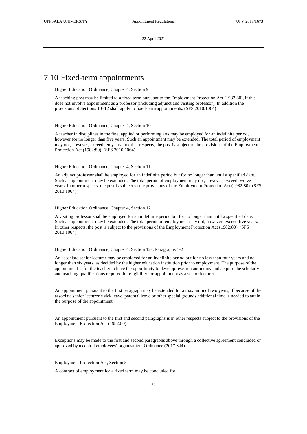#### 7.10 Fixed-term appointments

<span id="page-31-0"></span>Higher Education Ordinance, Chapter 4, Section 9

A teaching post may be limited to a fixed term pursuant to the Employment Protection Act (1982:80), if this does not involve appointment as a professor (including adjunct and visiting professor). In addition the provisions of Sections 10–12 shall apply to fixed-term appointments. (SFS 2010:1064)

Higher Education Ordinance, Chapter 4, Section 10

A teacher in disciplines in the fine, applied or performing arts may be employed for an indefinite period, however for no longer than five years. Such an appointment may be extended. The total period of employment may not, however, exceed ten years. In other respects, the post is subject to the provisions of the Employment Protection Act (1982:80). (SFS 2010:1064)

Higher Education Ordinance, Chapter 4, Section 11

An adjunct professor shall be employed for an indefinite period but for no longer than until a specified date. Such an appointment may be extended. The total period of employment may not, however, exceed twelve years. In other respects, the post is subject to the provisions of the Employment Protection Act (1982:80). (SFS 2010:1064)

Higher Education Ordinance, Chapter 4, Section 12

A visiting professor shall be employed for an indefinite period but for no longer than until a specified date. Such an appointment may be extended. The total period of employment may not, however, exceed five years. In other respects, the post is subject to the provisions of the Employment Protection Act (1982:80). (SFS 2010:1064)

Higher Education Ordinance, Chapter 4, Section 12a, Paragraphs 1-2

An associate senior lecturer may be employed for an indefinite period but for no less than four years and no longer than six years, as decided by the higher education institution prior to employment. The purpose of the appointment is for the teacher to have the opportunity to develop research autonomy and acquire the scholarly and teaching qualifications required for eligibility for appointment as a senior lecturer.

An appointment pursuant to the first paragraph may be extended for a maximum of two years, if because of the associate senior lecturer's sick leave, parental leave or other special grounds additional time is needed to attain the purpose of the appointment.

An appointment pursuant to the first and second paragraphs is in other respects subject to the provisions of the Employment Protection Act (1982:80).

Exceptions may be made to the first and second paragraphs above through a collective agreement concluded or approved by a central employees' organisation. Ordinance (2017:844).

Employment Protection Act, Section 5

A contract of employment for a fixed term may be concluded for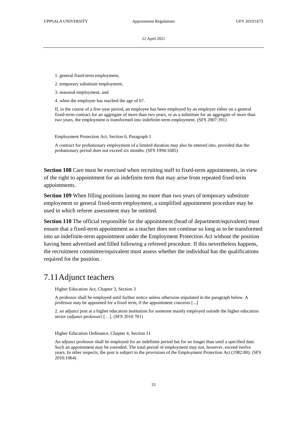1. general fixed-term employment,

2. temporary substitute employment,

3. seasonal employment, and

4. when the employee has reached the age of 67.

If, in the course of a five-year period, an employee has been employed by an employer either on a general fixed-term contract for an aggregate of more than two years, or as a substitute for an aggregate of more than two years, the employment is transformed into indefinite-term employment. (SFS 2007:391)

Employment Protection Act, Section 6, Paragraph 1

A contract for probationary employment of a limited duration may also be entered into, provided that the probationary period does not exceed six months. (SFS 1994:1685)

**Section 108** Care must be exercised when recruiting staff to fixed-term appointments, in view of the right to appointment for an indefinite term that may arise from repeated fixed-term appointments.

**Section 109** When filling positions lasting no more than two years of temporary substitute employment or general fixed-term employment, a simplified appointment procedure may be used in which referee assessment may be omitted.

**Section 110** The official responsible for the appointment (head of department/equivalent) must ensure that a fixed-term appointment as a teacher does not continue so long as to be transformed into an indefinite-term appointment under the Employment Protection Act without the position having been advertised and filled following a refereed procedure. If this nevertheless happens, the recruitment committee/equivalent must assess whether the individual has the qualifications required for the position.

### <span id="page-32-0"></span>7.11Adjunct teachers

Higher Education Act, Chapter 3, Section 3

A professor shall be employed until further notice unless otherwise stipulated in the paragraph below. A professor may be appointed for a fixed term, if the appointment concerns [...]

2. an adjunct post at a higher education institution for someone mainly employed outside the higher education sector (adjunct professor) [...]. (SFS 2010:701)

Higher Education Ordinance, Chapter 4, Section 11

An adjunct professor shall be employed for an indefinite period but for no longer than until a specified date. Such an appointment may be extended. The total period of employment may not, however, exceed twelve years. In other respects, the post is subject to the provisions of the Employment Protection Act (1982:80). (SFS 2010:1064)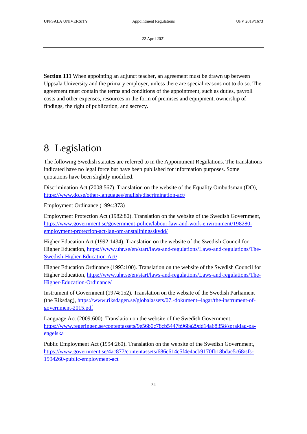**Section 111** When appointing an adjunct teacher, an agreement must be drawn up between Uppsala University and the primary employer, unless there are special reasons not to do so. The agreement must contain the terms and conditions of the appointment, such as duties, payroll costs and other expenses, resources in the form of premises and equipment, ownership of findings, the right of publication, and secrecy.

# <span id="page-33-0"></span>8 Legislation

The following Swedish statutes are referred to in the Appointment Regulations. The translations indicated have no legal force but have been published for information purposes. Some quotations have been slightly modified.

Discrimination Act (2008:567). Translation on the website of the Equality Ombudsman (DO), <https://www.do.se/other-languages/english/discrimination-act/>

Employment Ordinance (1994:373)

Employment Protection Act (1982:80). Translation on the website of the Swedish Government, [https://www.government.se/government-policy/labour-law-and-work-environment/198280](https://www.government.se/government-policy/labour-law-and-work-environment/198280-employment-protection-act-lag-om-anstallningsskydd/) [employment-protection-act-lag-om-anstallningsskydd/](https://www.government.se/government-policy/labour-law-and-work-environment/198280-employment-protection-act-lag-om-anstallningsskydd/)

Higher Education Act (1992:1434). Translation on the website of the Swedish Council for Higher Education, [https://www.uhr.se/en/start/laws-and-regulations/Laws-and-regulations/The-](https://www.uhr.se/en/start/laws-and-regulations/Laws-and-regulations/The-Swedish-Higher-Education-Act/)[Swedish-Higher-Education-Act/](https://www.uhr.se/en/start/laws-and-regulations/Laws-and-regulations/The-Swedish-Higher-Education-Act/)

Higher Education Ordinance (1993:100). Translation on the website of the Swedish Council for Higher Education, [https://www.uhr.se/en/start/laws-and-regulations/Laws-and-regulations/The-](https://www.uhr.se/en/start/laws-and-regulations/Laws-and-regulations/The-Higher-Education-Ordinance/)[Higher-Education-Ordinance/](https://www.uhr.se/en/start/laws-and-regulations/Laws-and-regulations/The-Higher-Education-Ordinance/)

Instrument of Government (1974:152). Translation on the website of the Swedish Parliament (the Riksdag), [https://www.riksdagen.se/globalassets/07.-dokument--lagar/the-instrument-of](https://www.riksdagen.se/globalassets/07.-dokument--lagar/the-instrument-of-government-2015.pdf)[government-2015.pdf](https://www.riksdagen.se/globalassets/07.-dokument--lagar/the-instrument-of-government-2015.pdf)

Language Act (2009:600). Translation on the website of the Swedish Government, [https://www.regeringen.se/contentassets/9e56b0c78cb5447b968a29dd14a68358/spraklag-pa](https://www.regeringen.se/contentassets/9e56b0c78cb5447b968a29dd14a68358/spraklag-pa-engelska)[engelska](https://www.regeringen.se/contentassets/9e56b0c78cb5447b968a29dd14a68358/spraklag-pa-engelska)

Public Employment Act (1994:260). Translation on the website of the Swedish Government, [https://www.government.se/4ac877/contentassets/686c614c5f4e4acb9170fb18bdac5c68/sfs-](https://www.government.se/4ac877/contentassets/686c614c5f4e4acb9170fb18bdac5c68/sfs-1994260-public-employment-act)[1994260-public-employment-act](https://www.government.se/4ac877/contentassets/686c614c5f4e4acb9170fb18bdac5c68/sfs-1994260-public-employment-act)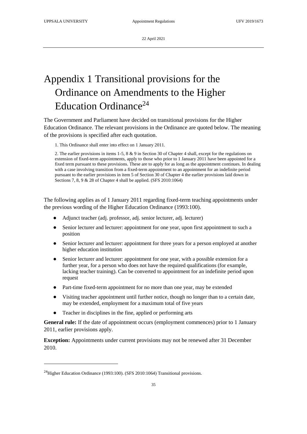# <span id="page-34-0"></span>Appendix 1 Transitional provisions for the Ordinance on Amendments to the Higher Education Ordinance<sup>24</sup>

The Government and Parliament have decided on transitional provisions for the Higher Education Ordinance. The relevant provisions in the Ordinance are quoted below. The meaning of the provisions is specified after each quotation.

1. This Ordinance shall enter into effect on 1 January 2011.

2. The earlier provisions in items 1-5, 8 & 9 in Section 30 of Chapter 4 shall, except for the regulations on extension of fixed-term appointments, apply to those who prior to 1 January 2011 have been appointed for a fixed term pursuant to these provisions. These are to apply for as long as the appointment continues. In dealing with a case involving transition from a fixed-term appointment to an appointment for an indefinite period pursuant to the earlier provisions in item 5 of Section 30 of Chapter 4 the earlier provisions laid down in Sections 7, 8, 9 & 28 of Chapter 4 shall be applied. (SFS 2010:1064)

The following applies as of 1 January 2011 regarding fixed-term teaching appointments under the previous wording of the Higher Education Ordinance (1993:100).

- Adjunct teacher (adj. professor, adj. senior lecturer, adj. lecturer)
- Senior lecturer and lecturer: appointment for one year, upon first appointment to such a position
- Senior lecturer and lecturer: appointment for three years for a person employed at another higher education institution
- Senior lecturer and lecturer: appointment for one year, with a possible extension for a further year, for a person who does not have the required qualifications (for example, lacking teacher training). Can be converted to appointment for an indefinite period upon request
- Part-time fixed-term appointment for no more than one year, may be extended
- Visiting teacher appointment until further notice, though no longer than to a certain date, may be extended, employment for a maximum total of five years
- Teacher in disciplines in the fine, applied or performing arts

**General rule:** If the date of appointment occurs (employment commences) prior to 1 January 2011, earlier provisions apply.

**Exception:** Appointments under current provisions may not be renewed after 31 December 2010.

1

<sup>&</sup>lt;sup>24</sup>Higher Education Ordinance (1993:100). (SFS 2010:1064) Transitional provisions.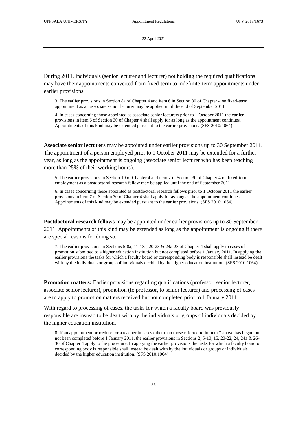During 2011, individuals (senior lecturer and lecturer) not holding the required qualifications may have their appointments converted from fixed-term to indefinite-term appointments under earlier provisions.

3. The earlier provisions in Section 8a of Chapter 4 and item 6 in Section 30 of Chapter 4 on fixed-term appointment as an associate senior lecturer may be applied until the end of September 2011.

4. In cases concerning those appointed as associate senior lecturers prior to 1 October 2011 the earlier provisions in item 6 of Section 30 of Chapter 4 shall apply for as long as the appointment continues. Appointments of this kind may be extended pursuant to the earlier provisions. (SFS 2010:1064)

**Associate senior lecturers** may be appointed under earlier provisions up to 30 September 2011. The appointment of a person employed prior to 1 October 2011 may be extended for a further year, as long as the appointment is ongoing (associate senior lecturer who has been teaching more than 25% of their working hours).

5. The earlier provisions in Section 10 of Chapter 4 and item 7 in Section 30 of Chapter 4 on fixed-term employment as a postdoctoral research fellow may be applied until the end of September 2011.

6. In cases concerning those appointed as postdoctoral research fellows prior to 1 October 2011 the earlier provisions in item 7 of Section 30 of Chapter 4 shall apply for as long as the appointment continues. Appointments of this kind may be extended pursuant to the earlier provisions. (SFS 2010:1064)

**Postdoctoral research fellows** may be appointed under earlier provisions up to 30 September 2011. Appointments of this kind may be extended as long as the appointment is ongoing if there are special reasons for doing so.

7. The earlier provisions in Sections 5-8a, 11-13a, 20-23 & 24a-28 of Chapter 4 shall apply to cases of promotion submitted to a higher education institution but not completed before 1 January 2011. In applying the earlier provisions the tasks for which a faculty board or corresponding body is responsible shall instead be dealt with by the individuals or groups of individuals decided by the higher education institution. (SFS 2010:1064)

**Promotion matters:** Earlier provisions regarding qualifications (professor, senior lecturer, associate senior lecturer), promotion (to professor, to senior lecturer) and processing of cases are to apply to promotion matters received but not completed prior to 1 January 2011.

With regard to processing of cases, the tasks for which a faculty board was previously responsible are instead to be dealt with by the individuals or groups of individuals decided by the higher education institution.

8. If an appointment procedure for a teacher in cases other than those referred to in item 7 above has begun but not been completed before 1 January 2011, the earlier provisions in Sections 2, 5-10, 15, 20-22, 24, 24a & 26- 30 of Chapter 4 apply to the procedure. In applying the earlier provisions the tasks for which a faculty board or corresponding body is responsible shall instead be dealt with by the individuals or groups of individuals decided by the higher education institution. (SFS 2010:1064)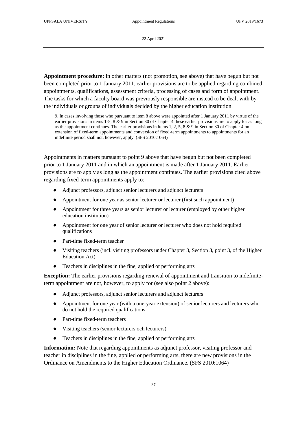**Appointment procedure:** In other matters (not promotion, see above) that have begun but not been completed prior to 1 January 2011, earlier provisions are to be applied regarding combined appointments, qualifications, assessment criteria, processing of cases and form of appointment. The tasks for which a faculty board was previously responsible are instead to be dealt with by the individuals or groups of individuals decided by the higher education institution.

9. In cases involving those who pursuant to item 8 above were appointed after 1 January 2011 by virtue of the earlier provisions in items 1-5,  $8 \& 9$  in Section 30 of Chapter 4 these earlier provisions are to apply for as long as the appointment continues. The earlier provisions in items 1, 2, 5, 8 & 9 in Section 30 of Chapter 4 on extension of fixed-term appointments and conversion of fixed-term appointments to appointments for an indefinite period shall not, however, apply. (SFS 2010:1064)

Appointments in matters pursuant to point 9 above that have begun but not been completed prior to 1 January 2011 and in which an appointment is made after 1 January 2011. Earlier provisions are to apply as long as the appointment continues. The earlier provisions cited above regarding fixed-term appointments apply to:

- Adjunct professors, adjunct senior lecturers and adjunct lecturers
- Appointment for one year as senior lecturer or lecturer (first such appointment)
- Appointment for three years as senior lecturer or lecturer (employed by other higher education institution)
- Appointment for one year of senior lecturer or lecturer who does not hold required qualifications
- Part-time fixed-term teacher
- Visiting teachers (incl. visiting professors under Chapter 3, Section 3, point 3, of the Higher Education Act)
- Teachers in disciplines in the fine, applied or performing arts

**Exception:** The earlier provisions regarding renewal of appointment and transition to indefiniteterm appointment are not, however, to apply for (see also point 2 above):

- Adjunct professors, adjunct senior lecturers and adjunct lecturers
- Appointment for one year (with a one-year extension) of senior lecturers and lecturers who do not hold the required qualifications
- Part-time fixed-term teachers
- Visiting teachers (senior lecturers och lecturers)
- Teachers in disciplines in the fine, applied or performing arts

**Information:** Note that regarding appointments as adjunct professor, visiting professor and teacher in disciplines in the fine, applied or performing arts, there are new provisions in the Ordinance on Amendments to the Higher Education Ordinance. (SFS 2010:1064)